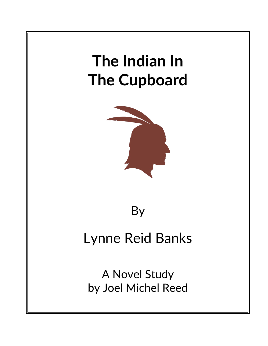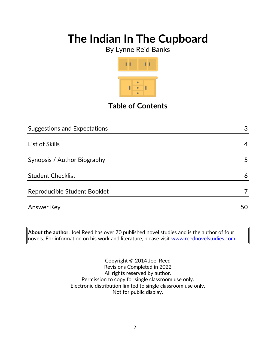By Lynne Reid Banks



**Table of Contents**

| <b>Suggestions and Expectations</b> | 3  |
|-------------------------------------|----|
|                                     |    |
| List of Skills                      | 4  |
|                                     |    |
| Synopsis / Author Biography         | 5  |
| <b>Student Checklist</b>            | 6  |
| Reproducible Student Booklet        |    |
| Answer Key                          | 50 |

**About the author:** Joel Reed has over 70 published novel studies and is the author of four novels. For information on his work and literature, please visit [www.reednovelstudies.com](http://www.reednovelstudies.com/)

> Copyright © 2014 Joel Reed Revisions Completed in 2022 All rights reserved by author. Permission to copy for single classroom use only. Electronic distribution limited to single classroom use only. Not for public display.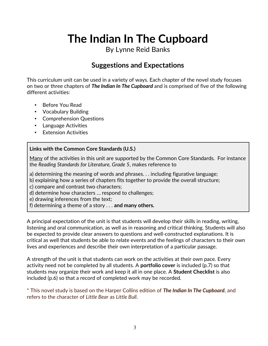By Lynne Reid Banks

### **Suggestions and Expectations**

This curriculum unit can be used in a variety of ways. Each chapter of the novel study focuses on two or three chapters of *The Indian In The Cupboard* and is comprised of five of the following different activities:

- Before You Read
- Vocabulary Building
- Comprehension Questions
- Language Activities
- Extension Activities

#### **Links with the Common Core Standards (U.S.)**

Many of the activities in this unit are supported by the Common Core Standards. For instance the *Reading Standards for Literature, Grade 5*, makes reference to

a) determining the meaning of words and phrases. . . including figurative language;

b) explaining how a series of chapters fits together to provide the overall structure;

c) compare and contrast two characters;

d) determine how characters … respond to challenges;

e) drawing inferences from the text;

f) determining a theme of a story . . . **and many others.**

A principal expectation of the unit is that students will develop their skills in reading, writing, listening and oral communication, as well as in reasoning and critical thinking. Students will also be expected to provide clear answers to questions and well-constructed explanations. It is critical as well that students be able to relate events and the feelings of characters to their own lives and experiences and describe their own interpretation of a particular passage.

A strength of the unit is that students can work on the activities at their own pace. Every activity need not be completed by all students. A **portfolio cover** is included (p.7) so that students may organize their work and keep it all in one place. A **Student Checklist** is also included (p.6) so that a record of completed work may be recorded.

\* This novel study is based on the Harper Collins edition of *The Indian In The Cupboard*, and refers to the character of *Little Bear* as *Little Bull*.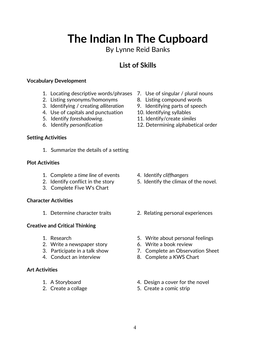## 4

# **The Indian In The Cupboard**

### By Lynne Reid Banks

## **List of Skills**

#### **Vocabulary Development**

- 1. Locating descriptive words/phrases 7. Use of singular / plural nouns
- 2. Listing synonyms/homonyms 8. Listing compound words
- 3. Identifying / creating *alliteration* 9. Identifying parts of speech
- 4. Use of capitals and punctuation 10. Identifying syllables
- 
- 

#### **Setting Activities**

1. Summarize the details of a setting

#### **Plot Activities**

- 1. Complete a *time line* of events 4. Identify *cliffhangers*
- 
- 3. Complete Five W's Chart

#### **Character Activities**

#### **Creative and Critical Thinking**

- 
- 2. Write a newspaper story **6. Write a book review**
- 
- 

#### **Art Activities**

- 
- 
- 
- 
- 
- 
- 5. Identify *foreshadowing*. 11. Identify/create *similes*
- 6. Identify *personification* 12. Determining alphabetical order

- 
- 2. Identify conflict in the story 5. Identify the climax of the novel.
- 1. Determine character traits 2. Relating personal experiences
- 1. Research 5. Write about personal feelings
	-
- 3. Participate in a talk show 7. Complete an Observation Sheet
- 4. Conduct an interview 8. Complete a KWS Chart
- 1. A Storyboard **1.** A Storyboard **1.** A Storyboard
- 2. Create a collage 5. Create a comic strip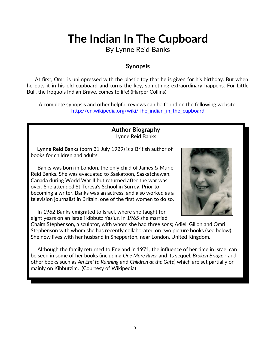By Lynne Reid Banks

### **Synopsis**

 At first, Omri is unimpressed with the plastic toy that he is given for his birthday. But when he puts it in his old cupboard and turns the key, something extraordinary happens. For Little Bull, the Iroquois Indian Brave, comes to life! (Harper Collins)

A complete synopsis and other helpful reviews can be found on the following website: http://en.wikipedia.org/wiki/The indian in the cupboard

> **Author Biography** Lynne Reid Banks

 **Lynne Reid Banks** (born 31 July 1929) is a British author of books for children and adults.

 Banks was born in London, the only child of James & Muriel Reid Banks. She was evacuated to Saskatoon, Saskatchewan, Canada during World War II but returned after the war was over. She attended St Teresa's School in Surrey. Prior to becoming a writer, Banks was an actress, and also worked as a television journalist in Britain, one of the first women to do so.

 In 1962 Banks emigrated to Israel, where she taught for eight years on an Israeli kibbutz Yas'ur. In 1965 she married



Chaim Stephenson, a sculptor, with whom she had three sons; Adiel, Gillon and Omri Stephenson with whom she has recently collaborated on two picture books (see below). She now lives with her husband in Shepperton, near London, United Kingdom.

 Although the family returned to England in 1971, the influence of her time in Israel can be seen in some of her books (including *One More River* and its sequel, *Broken Bridge* - and other books such as *An End to Running* and *Children at the Gate*) which are set partially or mainly on Kibbutzim. (Courtesy of Wikipedia)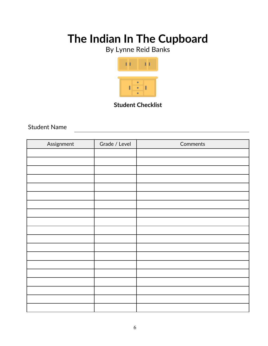By Lynne Reid Banks



**Student Checklist**

Student Name

| Assignment | Grade / Level | Comments |
|------------|---------------|----------|
|            |               |          |
|            |               |          |
|            |               |          |
|            |               |          |
|            |               |          |
|            |               |          |
|            |               |          |
|            |               |          |
|            |               |          |
|            |               |          |
|            |               |          |
|            |               |          |
|            |               |          |
|            |               |          |
|            |               |          |
|            |               |          |
|            |               |          |
|            |               |          |
|            |               |          |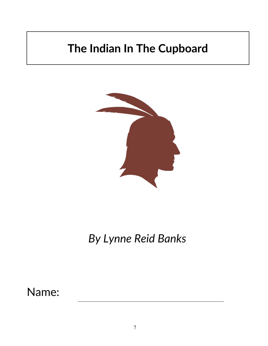

*By Lynne Reid Banks*

Name: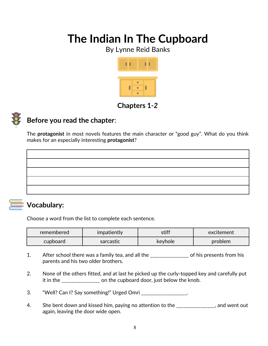By Lynne Reid Banks



### **Chapters 1***-2*



### **Before you read the chapter**:

The **protagonist** in most novels features the main character or "good guy". What do you think makes for an especially interesting **protagonist**?



### **Vocabulary:**

Choose a word from the list to complete each sentence.

| remembered | <i>impatiently</i> | stiff                | excitement |
|------------|--------------------|----------------------|------------|
| cupboard   | sarcastic          | keyhole <sup>®</sup> | problem    |

- 1. After school there was a family tea, and all the \_\_\_\_\_\_\_\_\_\_\_\_\_\_\_ of his presents from his parents and his two older brothers.
- 2. None of the others fitted, and at last he picked up the curly-topped key and carefully put it in the \_\_\_\_\_\_\_\_\_\_\_\_\_\_\_\_ on the cupboard door, just below the knob.
- 3. "Well? Can I? Say something!" Urged Omri \_\_\_\_\_\_\_\_\_\_\_\_\_\_\_\_\_\_.
- 4. She bent down and kissed him, paying no attention to the same section out and went out again, leaving the door wide open.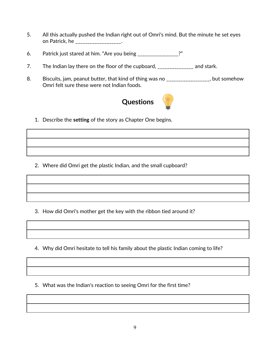- 5. All this actually pushed the Indian right out of Omri's mind. But the minute he set eyes on Patrick, he \_\_\_\_\_\_\_\_\_\_\_\_\_\_\_\_\_\_.
- 6. Patrick just stared at him. "Are you being \_\_\_\_\_\_\_\_\_\_\_\_\_\_\_\_\_?"
- 7. The Indian lay there on the floor of the cupboard, \_\_\_\_\_\_\_\_\_\_\_\_\_\_\_ and stark.
- 8. Biscuits, jam, peanut butter, that kind of thing was no \_\_\_\_\_\_\_\_\_\_\_\_\_\_\_\_, but somehow Omri felt sure these were not Indian foods.



1. Describe the **setting** of the story as Chapter One begins.

2. Where did Omri get the plastic Indian, and the small cupboard?

3. How did Omri's mother get the key with the ribbon tied around it?

4. Why did Omri hesitate to tell his family about the plastic Indian coming to life?

5. What was the Indian's reaction to seeing Omri for the first time?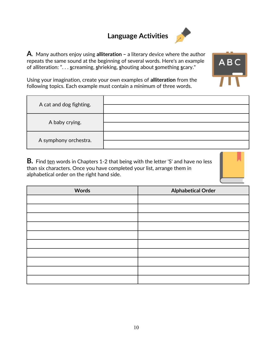## **Language Activities**



**A**. Many authors enjoy using **alliteration –** a literary device where the author repeats the same sound at the beginning of several words. Here's an example of alliteration: ". . . **s**creaming, **s**hrieking, **s**houting about **s**omething **s**cary."



Using your imagination, create your own examples of **alliteration** from the following topics. Each example must contain a minimum of three words.

| A cat and dog fighting. |  |
|-------------------------|--|
| A baby crying.          |  |
| A symphony orchestra.   |  |

**B.** Find ten words in Chapters 1-2 that being with the letter 'S' and have no less than six characters. Once you have completed your list, arrange them in alphabetical order on the right hand side.



| <b>Words</b> | <b>Alphabetical Order</b> |
|--------------|---------------------------|
|              |                           |
|              |                           |
|              |                           |
|              |                           |
|              |                           |
|              |                           |
|              |                           |
|              |                           |
|              |                           |
|              |                           |